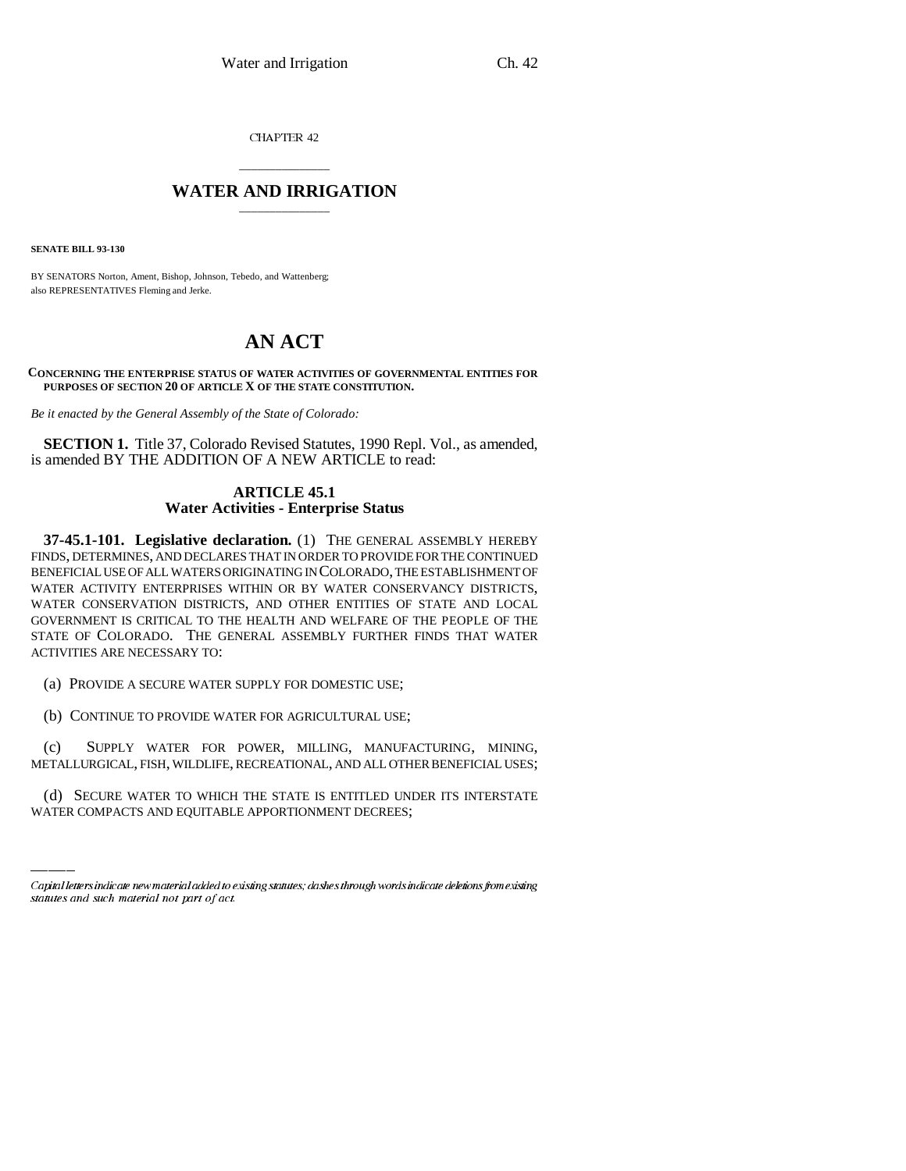CHAPTER 42

## \_\_\_\_\_\_\_\_\_\_\_\_\_\_\_ **WATER AND IRRIGATION** \_\_\_\_\_\_\_\_\_\_\_\_\_\_\_

**SENATE BILL 93-130**

BY SENATORS Norton, Ament, Bishop, Johnson, Tebedo, and Wattenberg; also REPRESENTATIVES Fleming and Jerke.

# **AN ACT**

#### **CONCERNING THE ENTERPRISE STATUS OF WATER ACTIVITIES OF GOVERNMENTAL ENTITIES FOR PURPOSES OF SECTION 20 OF ARTICLE X OF THE STATE CONSTITUTION.**

*Be it enacted by the General Assembly of the State of Colorado:*

**SECTION 1.** Title 37, Colorado Revised Statutes, 1990 Repl. Vol., as amended, is amended BY THE ADDITION OF A NEW ARTICLE to read:

### **ARTICLE 45.1 Water Activities - Enterprise Status**

**37-45.1-101. Legislative declaration.** (1) THE GENERAL ASSEMBLY HEREBY FINDS, DETERMINES, AND DECLARES THAT IN ORDER TO PROVIDE FOR THE CONTINUED BENEFICIAL USE OF ALL WATERS ORIGINATING IN COLORADO, THE ESTABLISHMENT OF WATER ACTIVITY ENTERPRISES WITHIN OR BY WATER CONSERVANCY DISTRICTS, WATER CONSERVATION DISTRICTS, AND OTHER ENTITIES OF STATE AND LOCAL GOVERNMENT IS CRITICAL TO THE HEALTH AND WELFARE OF THE PEOPLE OF THE STATE OF COLORADO. THE GENERAL ASSEMBLY FURTHER FINDS THAT WATER ACTIVITIES ARE NECESSARY TO:

(a) PROVIDE A SECURE WATER SUPPLY FOR DOMESTIC USE;

(b) CONTINUE TO PROVIDE WATER FOR AGRICULTURAL USE;

METALLURGICAL, FISH, WILDLIFE, RECREATIONAL, AND ALL OTHER BENEFICIAL USES; (c) SUPPLY WATER FOR POWER, MILLING, MANUFACTURING, MINING,

(d) SECURE WATER TO WHICH THE STATE IS ENTITLED UNDER ITS INTERSTATE WATER COMPACTS AND EQUITABLE APPORTIONMENT DECREES;

Capital letters indicate new material added to existing statutes; dashes through words indicate deletions from existing statutes and such material not part of act.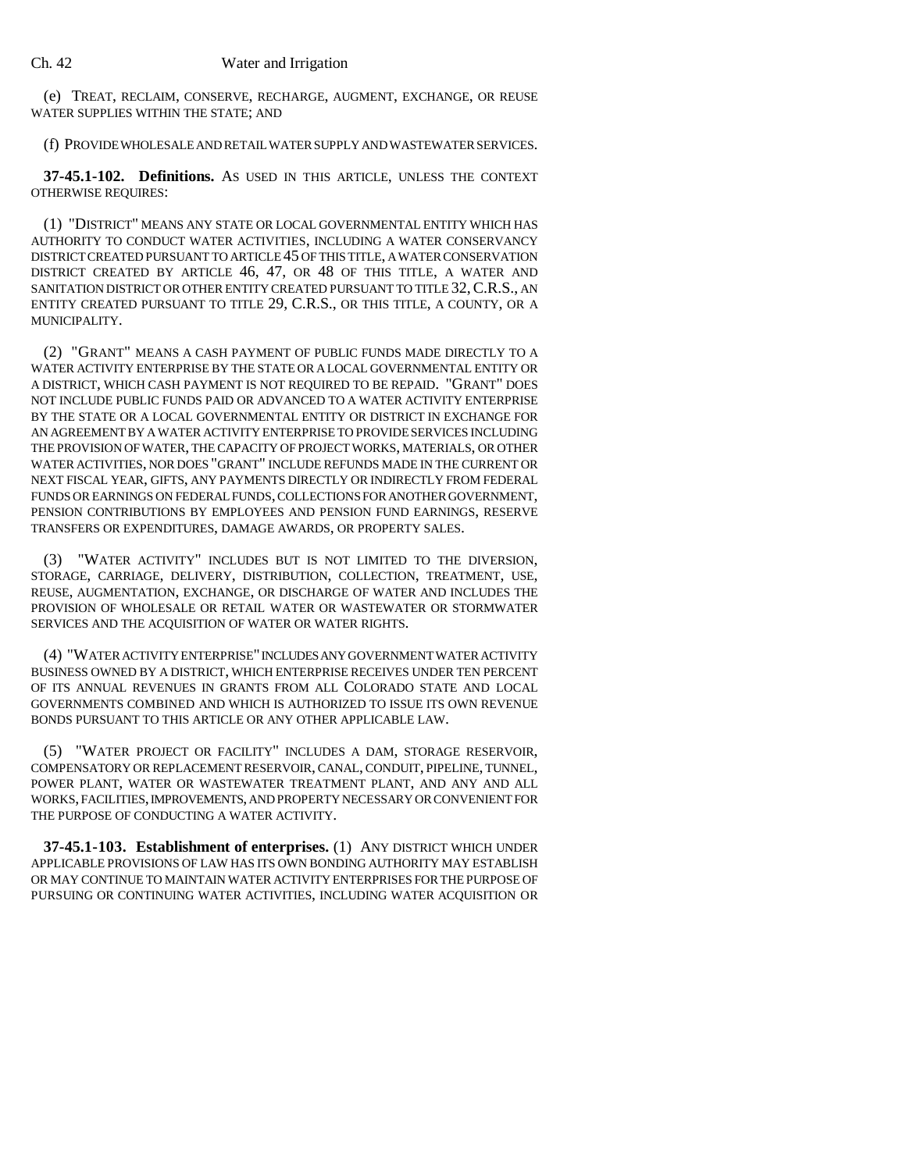(e) TREAT, RECLAIM, CONSERVE, RECHARGE, AUGMENT, EXCHANGE, OR REUSE WATER SUPPLIES WITHIN THE STATE; AND

(f) PROVIDE WHOLESALE AND RETAIL WATER SUPPLY AND WASTEWATER SERVICES.

**37-45.1-102. Definitions.** AS USED IN THIS ARTICLE, UNLESS THE CONTEXT OTHERWISE REQUIRES:

(1) "DISTRICT" MEANS ANY STATE OR LOCAL GOVERNMENTAL ENTITY WHICH HAS AUTHORITY TO CONDUCT WATER ACTIVITIES, INCLUDING A WATER CONSERVANCY DISTRICT CREATED PURSUANT TO ARTICLE 45 OF THIS TITLE, A WATER CONSERVATION DISTRICT CREATED BY ARTICLE 46, 47, OR 48 OF THIS TITLE, A WATER AND SANITATION DISTRICT OR OTHER ENTITY CREATED PURSUANT TO TITLE 32, C.R.S., AN ENTITY CREATED PURSUANT TO TITLE 29, C.R.S., OR THIS TITLE, A COUNTY, OR A MUNICIPALITY.

(2) "GRANT" MEANS A CASH PAYMENT OF PUBLIC FUNDS MADE DIRECTLY TO A WATER ACTIVITY ENTERPRISE BY THE STATE OR A LOCAL GOVERNMENTAL ENTITY OR A DISTRICT, WHICH CASH PAYMENT IS NOT REQUIRED TO BE REPAID. "GRANT" DOES NOT INCLUDE PUBLIC FUNDS PAID OR ADVANCED TO A WATER ACTIVITY ENTERPRISE BY THE STATE OR A LOCAL GOVERNMENTAL ENTITY OR DISTRICT IN EXCHANGE FOR AN AGREEMENT BY A WATER ACTIVITY ENTERPRISE TO PROVIDE SERVICES INCLUDING THE PROVISION OF WATER, THE CAPACITY OF PROJECT WORKS, MATERIALS, OR OTHER WATER ACTIVITIES, NOR DOES "GRANT" INCLUDE REFUNDS MADE IN THE CURRENT OR NEXT FISCAL YEAR, GIFTS, ANY PAYMENTS DIRECTLY OR INDIRECTLY FROM FEDERAL FUNDS OR EARNINGS ON FEDERAL FUNDS, COLLECTIONS FOR ANOTHER GOVERNMENT, PENSION CONTRIBUTIONS BY EMPLOYEES AND PENSION FUND EARNINGS, RESERVE TRANSFERS OR EXPENDITURES, DAMAGE AWARDS, OR PROPERTY SALES.

(3) "WATER ACTIVITY" INCLUDES BUT IS NOT LIMITED TO THE DIVERSION, STORAGE, CARRIAGE, DELIVERY, DISTRIBUTION, COLLECTION, TREATMENT, USE, REUSE, AUGMENTATION, EXCHANGE, OR DISCHARGE OF WATER AND INCLUDES THE PROVISION OF WHOLESALE OR RETAIL WATER OR WASTEWATER OR STORMWATER SERVICES AND THE ACQUISITION OF WATER OR WATER RIGHTS.

(4) "WATER ACTIVITY ENTERPRISE" INCLUDES ANY GOVERNMENT WATER ACTIVITY BUSINESS OWNED BY A DISTRICT, WHICH ENTERPRISE RECEIVES UNDER TEN PERCENT OF ITS ANNUAL REVENUES IN GRANTS FROM ALL COLORADO STATE AND LOCAL GOVERNMENTS COMBINED AND WHICH IS AUTHORIZED TO ISSUE ITS OWN REVENUE BONDS PURSUANT TO THIS ARTICLE OR ANY OTHER APPLICABLE LAW.

(5) "WATER PROJECT OR FACILITY" INCLUDES A DAM, STORAGE RESERVOIR, COMPENSATORY OR REPLACEMENT RESERVOIR, CANAL, CONDUIT, PIPELINE, TUNNEL, POWER PLANT, WATER OR WASTEWATER TREATMENT PLANT, AND ANY AND ALL WORKS, FACILITIES, IMPROVEMENTS, AND PROPERTY NECESSARY OR CONVENIENT FOR THE PURPOSE OF CONDUCTING A WATER ACTIVITY.

**37-45.1-103. Establishment of enterprises.** (1) ANY DISTRICT WHICH UNDER APPLICABLE PROVISIONS OF LAW HAS ITS OWN BONDING AUTHORITY MAY ESTABLISH OR MAY CONTINUE TO MAINTAIN WATER ACTIVITY ENTERPRISES FOR THE PURPOSE OF PURSUING OR CONTINUING WATER ACTIVITIES, INCLUDING WATER ACQUISITION OR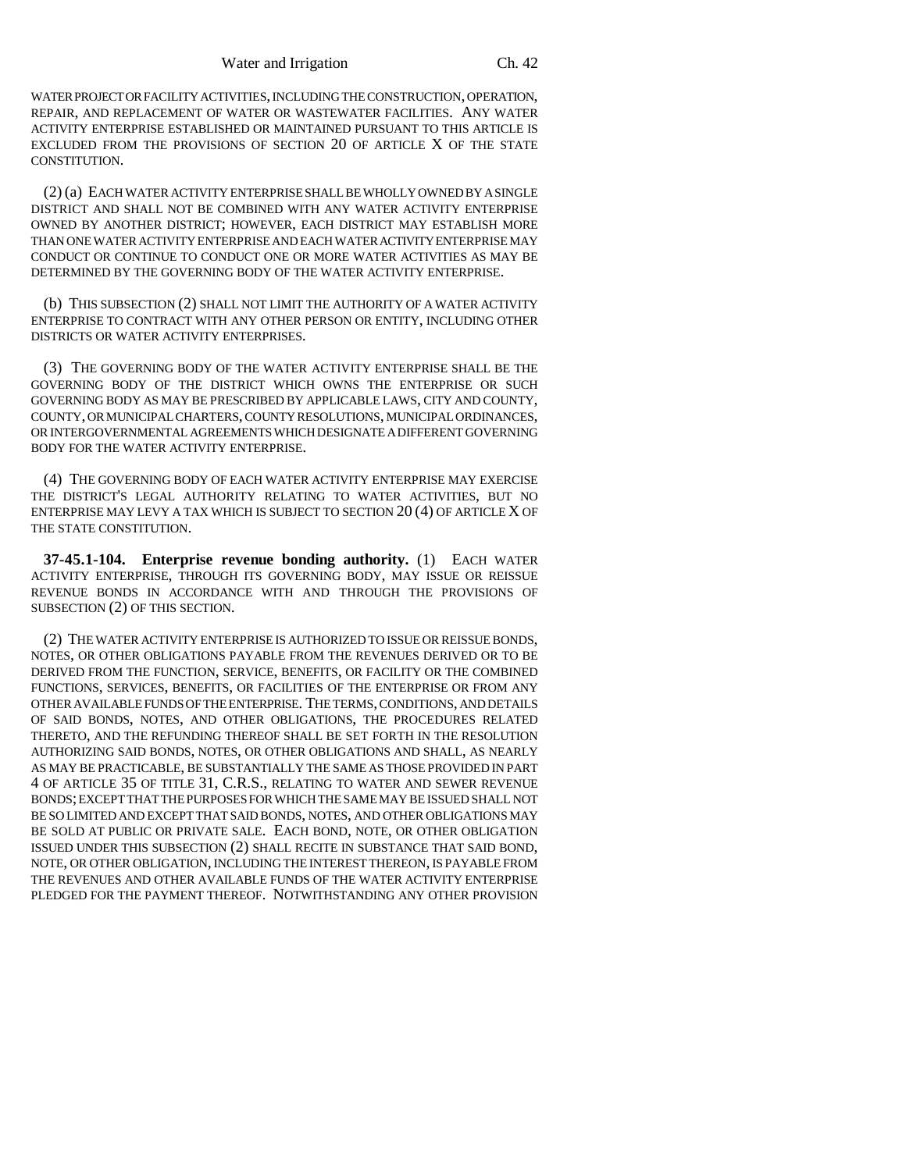WATER PROJECT OR FACILITY ACTIVITIES, INCLUDING THE CONSTRUCTION, OPERATION, REPAIR, AND REPLACEMENT OF WATER OR WASTEWATER FACILITIES. ANY WATER ACTIVITY ENTERPRISE ESTABLISHED OR MAINTAINED PURSUANT TO THIS ARTICLE IS EXCLUDED FROM THE PROVISIONS OF SECTION 20 OF ARTICLE X OF THE STATE CONSTITUTION.

(2) (a) EACH WATER ACTIVITY ENTERPRISE SHALL BE WHOLLY OWNED BY A SINGLE DISTRICT AND SHALL NOT BE COMBINED WITH ANY WATER ACTIVITY ENTERPRISE OWNED BY ANOTHER DISTRICT; HOWEVER, EACH DISTRICT MAY ESTABLISH MORE THAN ONE WATER ACTIVITY ENTERPRISE AND EACH WATER ACTIVITY ENTERPRISE MAY CONDUCT OR CONTINUE TO CONDUCT ONE OR MORE WATER ACTIVITIES AS MAY BE DETERMINED BY THE GOVERNING BODY OF THE WATER ACTIVITY ENTERPRISE.

(b) THIS SUBSECTION (2) SHALL NOT LIMIT THE AUTHORITY OF A WATER ACTIVITY ENTERPRISE TO CONTRACT WITH ANY OTHER PERSON OR ENTITY, INCLUDING OTHER DISTRICTS OR WATER ACTIVITY ENTERPRISES.

(3) THE GOVERNING BODY OF THE WATER ACTIVITY ENTERPRISE SHALL BE THE GOVERNING BODY OF THE DISTRICT WHICH OWNS THE ENTERPRISE OR SUCH GOVERNING BODY AS MAY BE PRESCRIBED BY APPLICABLE LAWS, CITY AND COUNTY, COUNTY, OR MUNICIPAL CHARTERS, COUNTY RESOLUTIONS, MUNICIPAL ORDINANCES, OR INTERGOVERNMENTAL AGREEMENTS WHICH DESIGNATE A DIFFERENT GOVERNING BODY FOR THE WATER ACTIVITY ENTERPRISE.

(4) THE GOVERNING BODY OF EACH WATER ACTIVITY ENTERPRISE MAY EXERCISE THE DISTRICT'S LEGAL AUTHORITY RELATING TO WATER ACTIVITIES, BUT NO ENTERPRISE MAY LEVY A TAX WHICH IS SUBJECT TO SECTION 20 (4) OF ARTICLE X OF THE STATE CONSTITUTION.

**37-45.1-104. Enterprise revenue bonding authority.** (1) EACH WATER ACTIVITY ENTERPRISE, THROUGH ITS GOVERNING BODY, MAY ISSUE OR REISSUE REVENUE BONDS IN ACCORDANCE WITH AND THROUGH THE PROVISIONS OF SUBSECTION (2) OF THIS SECTION.

(2) THE WATER ACTIVITY ENTERPRISE IS AUTHORIZED TO ISSUE OR REISSUE BONDS, NOTES, OR OTHER OBLIGATIONS PAYABLE FROM THE REVENUES DERIVED OR TO BE DERIVED FROM THE FUNCTION, SERVICE, BENEFITS, OR FACILITY OR THE COMBINED FUNCTIONS, SERVICES, BENEFITS, OR FACILITIES OF THE ENTERPRISE OR FROM ANY OTHER AVAILABLE FUNDS OF THE ENTERPRISE. THE TERMS, CONDITIONS, AND DETAILS OF SAID BONDS, NOTES, AND OTHER OBLIGATIONS, THE PROCEDURES RELATED THERETO, AND THE REFUNDING THEREOF SHALL BE SET FORTH IN THE RESOLUTION AUTHORIZING SAID BONDS, NOTES, OR OTHER OBLIGATIONS AND SHALL, AS NEARLY AS MAY BE PRACTICABLE, BE SUBSTANTIALLY THE SAME AS THOSE PROVIDED IN PART 4 OF ARTICLE 35 OF TITLE 31, C.R.S., RELATING TO WATER AND SEWER REVENUE BONDS; EXCEPT THAT THE PURPOSES FOR WHICH THE SAME MAY BE ISSUED SHALL NOT BE SO LIMITED AND EXCEPT THAT SAID BONDS, NOTES, AND OTHER OBLIGATIONS MAY BE SOLD AT PUBLIC OR PRIVATE SALE. EACH BOND, NOTE, OR OTHER OBLIGATION ISSUED UNDER THIS SUBSECTION (2) SHALL RECITE IN SUBSTANCE THAT SAID BOND, NOTE, OR OTHER OBLIGATION, INCLUDING THE INTEREST THEREON, IS PAYABLE FROM THE REVENUES AND OTHER AVAILABLE FUNDS OF THE WATER ACTIVITY ENTERPRISE PLEDGED FOR THE PAYMENT THEREOF. NOTWITHSTANDING ANY OTHER PROVISION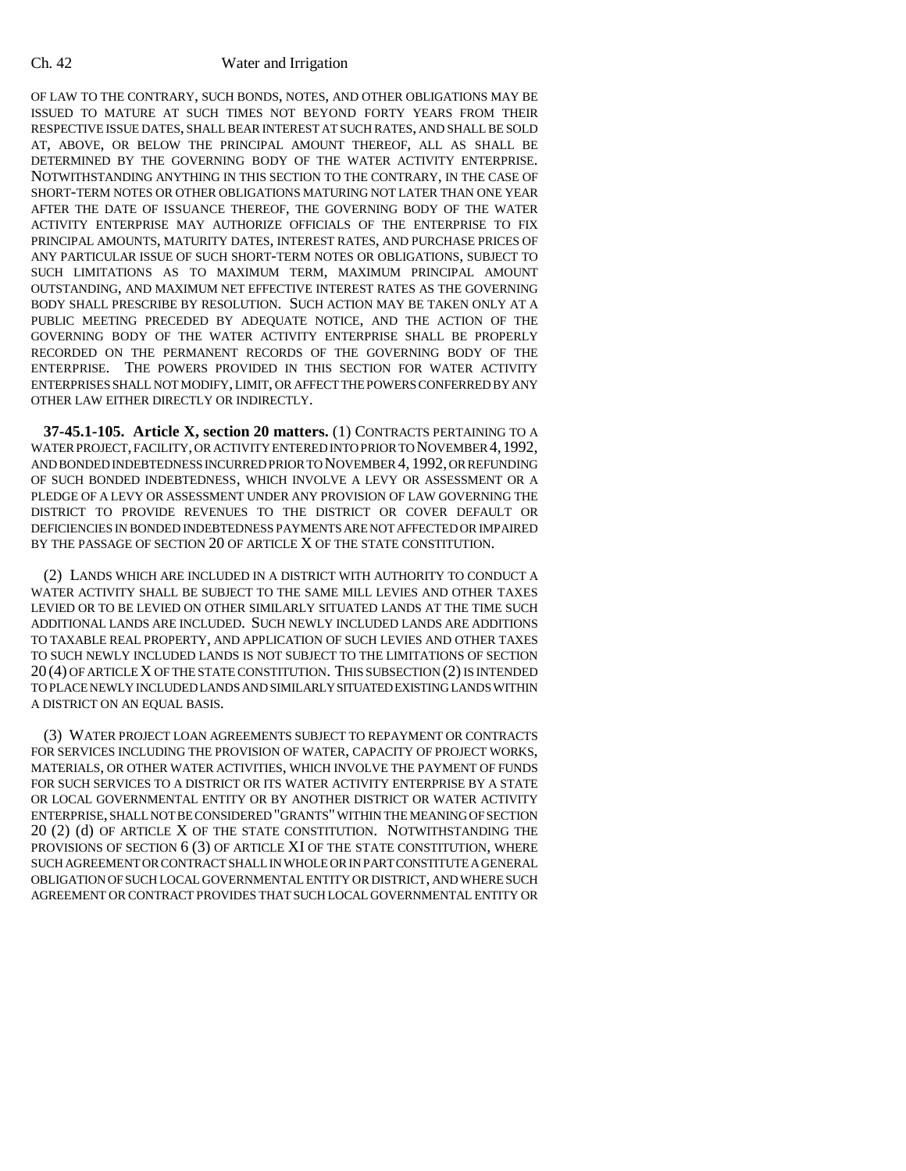#### Ch. 42 Water and Irrigation

OF LAW TO THE CONTRARY, SUCH BONDS, NOTES, AND OTHER OBLIGATIONS MAY BE ISSUED TO MATURE AT SUCH TIMES NOT BEYOND FORTY YEARS FROM THEIR RESPECTIVE ISSUE DATES, SHALL BEAR INTEREST AT SUCH RATES, AND SHALL BE SOLD AT, ABOVE, OR BELOW THE PRINCIPAL AMOUNT THEREOF, ALL AS SHALL BE DETERMINED BY THE GOVERNING BODY OF THE WATER ACTIVITY ENTERPRISE. NOTWITHSTANDING ANYTHING IN THIS SECTION TO THE CONTRARY, IN THE CASE OF SHORT-TERM NOTES OR OTHER OBLIGATIONS MATURING NOT LATER THAN ONE YEAR AFTER THE DATE OF ISSUANCE THEREOF, THE GOVERNING BODY OF THE WATER ACTIVITY ENTERPRISE MAY AUTHORIZE OFFICIALS OF THE ENTERPRISE TO FIX PRINCIPAL AMOUNTS, MATURITY DATES, INTEREST RATES, AND PURCHASE PRICES OF ANY PARTICULAR ISSUE OF SUCH SHORT-TERM NOTES OR OBLIGATIONS, SUBJECT TO SUCH LIMITATIONS AS TO MAXIMUM TERM, MAXIMUM PRINCIPAL AMOUNT OUTSTANDING, AND MAXIMUM NET EFFECTIVE INTEREST RATES AS THE GOVERNING BODY SHALL PRESCRIBE BY RESOLUTION. SUCH ACTION MAY BE TAKEN ONLY AT A PUBLIC MEETING PRECEDED BY ADEQUATE NOTICE, AND THE ACTION OF THE GOVERNING BODY OF THE WATER ACTIVITY ENTERPRISE SHALL BE PROPERLY RECORDED ON THE PERMANENT RECORDS OF THE GOVERNING BODY OF THE ENTERPRISE. THE POWERS PROVIDED IN THIS SECTION FOR WATER ACTIVITY ENTERPRISES SHALL NOT MODIFY, LIMIT, OR AFFECT THE POWERS CONFERRED BY ANY OTHER LAW EITHER DIRECTLY OR INDIRECTLY.

**37-45.1-105. Article X, section 20 matters.** (1) CONTRACTS PERTAINING TO A WATER PROJECT, FACILITY, OR ACTIVITY ENTERED INTO PRIOR TO NOVEMBER 4,1992, AND BONDED INDEBTEDNESS INCURRED PRIOR TO NOVEMBER 4, 1992, OR REFUNDING OF SUCH BONDED INDEBTEDNESS, WHICH INVOLVE A LEVY OR ASSESSMENT OR A PLEDGE OF A LEVY OR ASSESSMENT UNDER ANY PROVISION OF LAW GOVERNING THE DISTRICT TO PROVIDE REVENUES TO THE DISTRICT OR COVER DEFAULT OR DEFICIENCIES IN BONDED INDEBTEDNESS PAYMENTS ARE NOT AFFECTED OR IMPAIRED BY THE PASSAGE OF SECTION 20 OF ARTICLE X OF THE STATE CONSTITUTION.

(2) LANDS WHICH ARE INCLUDED IN A DISTRICT WITH AUTHORITY TO CONDUCT A WATER ACTIVITY SHALL BE SUBJECT TO THE SAME MILL LEVIES AND OTHER TAXES LEVIED OR TO BE LEVIED ON OTHER SIMILARLY SITUATED LANDS AT THE TIME SUCH ADDITIONAL LANDS ARE INCLUDED. SUCH NEWLY INCLUDED LANDS ARE ADDITIONS TO TAXABLE REAL PROPERTY, AND APPLICATION OF SUCH LEVIES AND OTHER TAXES TO SUCH NEWLY INCLUDED LANDS IS NOT SUBJECT TO THE LIMITATIONS OF SECTION 20 (4) OF ARTICLE X OF THE STATE CONSTITUTION. THIS SUBSECTION (2) IS INTENDED TO PLACE NEWLY INCLUDED LANDS AND SIMILARLY SITUATED EXISTING LANDS WITHIN A DISTRICT ON AN EQUAL BASIS.

(3) WATER PROJECT LOAN AGREEMENTS SUBJECT TO REPAYMENT OR CONTRACTS FOR SERVICES INCLUDING THE PROVISION OF WATER, CAPACITY OF PROJECT WORKS, MATERIALS, OR OTHER WATER ACTIVITIES, WHICH INVOLVE THE PAYMENT OF FUNDS FOR SUCH SERVICES TO A DISTRICT OR ITS WATER ACTIVITY ENTERPRISE BY A STATE OR LOCAL GOVERNMENTAL ENTITY OR BY ANOTHER DISTRICT OR WATER ACTIVITY ENTERPRISE, SHALL NOT BE CONSIDERED "GRANTS" WITHIN THE MEANING OF SECTION 20 (2) (d) OF ARTICLE X OF THE STATE CONSTITUTION. NOTWITHSTANDING THE PROVISIONS OF SECTION 6 (3) OF ARTICLE XI OF THE STATE CONSTITUTION, WHERE SUCH AGREEMENT OR CONTRACT SHALL IN WHOLE OR IN PART CONSTITUTE A GENERAL OBLIGATION OF SUCH LOCAL GOVERNMENTAL ENTITY OR DISTRICT, AND WHERE SUCH AGREEMENT OR CONTRACT PROVIDES THAT SUCH LOCAL GOVERNMENTAL ENTITY OR